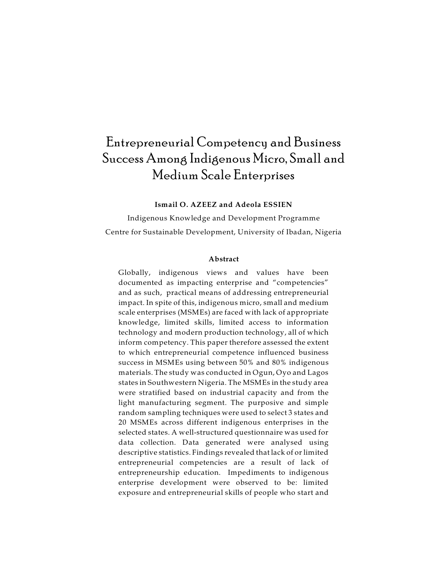# Entrepreneurial Competency and Business Success Among Indigenous Micro, Small and Medium Scale Enterprises

# **Ismail O. AZEEZ and Adeola ESSIEN**

Indigenous Knowledge and Development Programme Centre for Sustainable Development, University of Ibadan, Nigeria

#### **Abstract**

Globally, indigenous views and values have been documented as impacting enterprise and "competencies" and as such, practical means of addressing entrepreneurial impact. In spite of this, indigenous micro, small and medium scale enterprises (MSMEs) are faced with lack of appropriate knowledge, limited skills, limited access to information technology and modern production technology, all of which inform competency. This paper therefore assessed the extent to which entrepreneurial competence influenced business success in MSMEs using between 50% and 80% indigenous materials. The study was conducted in Ogun, Oyo and Lagos states in Southwestern Nigeria. The MSMEs in the study area were stratified based on industrial capacity and from the light manufacturing segment. The purposive and simple random sampling techniques were used to select 3 states and 20 MSMEs across different indigenous enterprises in the selected states. A well-structured questionnaire was used for data collection. Data generated were analysed using descriptive statistics. Findings revealed that lack of or limited entrepreneurial competencies are a result of lack of entrepreneurship education. Impediments to indigenous enterprise development were observed to be: limited exposure and entrepreneurial skills of people who start and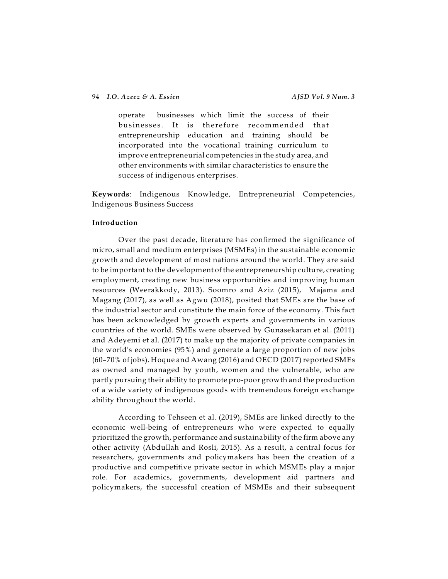# 94 *I.O. Azeez & A. Essien AJSD Vol. 9 Num. 3*

operate businesses which limit the success of their businesses. It is therefore recommended that entrepreneurship education and training should be incorporated into the vocational training curriculum to improve entrepreneurial competencies in the study area, and other environments with similar characteristics to ensure the success of indigenous enterprises.

**Keywords**: Indigenous Knowledge, Entrepreneurial Competencies, Indigenous Business Success

## **Introduction**

Over the past decade, literature has confirmed the significance of micro, small and medium enterprises (MSMEs) in the sustainable economic growth and development of most nations around the world. They are said to be important to the development of the entrepreneurship culture, creating employment, creating new business opportunities and improving human resources (Weerakkody, 2013). Soomro and Aziz (2015), Majama and Magang (2017), as well as Agwu (2018), posited that SMEs are the base of the industrial sector and constitute the main force of the economy. This fact has been acknowledged by growth experts and governments in various countries of the world. SMEs were observed by Gunasekaran et al. (2011) and Adeyemi et al. (2017) to make up the majority of private companies in the world's economies (95%) and generate a large proportion of new jobs (60–70% of jobs). Hoque and Awang (2016) and OECD (2017) reported SMEs as owned and managed by youth, women and the vulnerable, who are partly pursuing their ability to promote pro-poor growth and the production of a wide variety of indigenous goods with tremendous foreign exchange ability throughout the world.

According to Tehseen et al. (2019), SMEs are linked directly to the economic well-being of entrepreneurs who were expected to equally prioritized the growth, performance and sustainability of the firm above any other activity (Abdullah and Rosli, 2015). As a result, a central focus for researchers, governments and policymakers has been the creation of a productive and competitive private sector in which MSMEs play a major role. For academics, governments, development aid partners and policymakers, the successful creation of MSMEs and their subsequent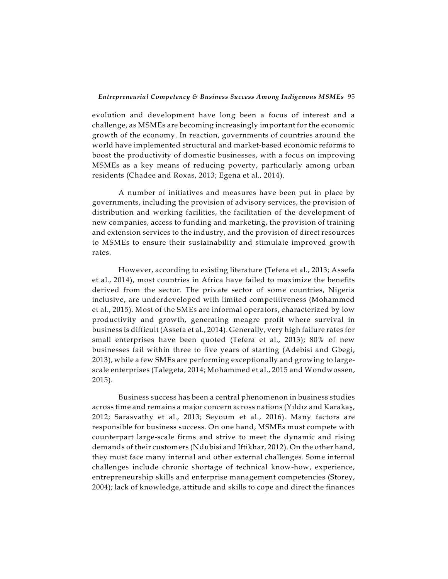evolution and development have long been a focus of interest and a challenge, as MSMEs are becoming increasingly important for the economic growth of the economy. In reaction, governments of countries around the world have implemented structural and market-based economic reforms to boost the productivity of domestic businesses, with a focus on improving MSMEs as a key means of reducing poverty, particularly among urban residents (Chadee and Roxas, 2013; Egena et al., 2014).

A number of initiatives and measures have been put in place by governments, including the provision of advisory services, the provision of distribution and working facilities, the facilitation of the development of new companies, access to funding and marketing, the provision of training and extension services to the industry, and the provision of direct resources to MSMEs to ensure their sustainability and stimulate improved growth rates.

However, according to existing literature (Tefera et al., 2013; Assefa et al., 2014), most countries in Africa have failed to maximize the benefits derived from the sector. The private sector of some countries, Nigeria inclusive, are underdeveloped with limited competitiveness (Mohammed et al., 2015). Most of the SMEs are informal operators, characterized by low productivity and growth, generating meagre profit where survival in business is difficult (Assefa et al., 2014). Generally, very high failure rates for small enterprises have been quoted (Tefera et al., 2013); 80% of new businesses fail within three to five years of starting (Adebisi and Gbegi, 2013), while a few SMEs are performing exceptionally and growing to largescale enterprises (Talegeta, 2014; Mohammed et al., 2015 and Wondwossen, 2015).

Business success has been a central phenomenon in business studies across time and remains a major concern across nations (Yildiz and Karakaş, 2012; Sarasvathy et al., 2013; Seyoum et al., 2016). Many factors are responsible for business success. On one hand, MSMEs must compete with counterpart large-scale firms and strive to meet the dynamic and rising demands of their customers (Ndubisi and Iftikhar, 2012). On the other hand, they must face many internal and other external challenges. Some internal challenges include chronic shortage of technical know-how, experience, entrepreneurship skills and enterprise management competencies (Storey, 2004); lack of knowledge, attitude and skills to cope and direct the finances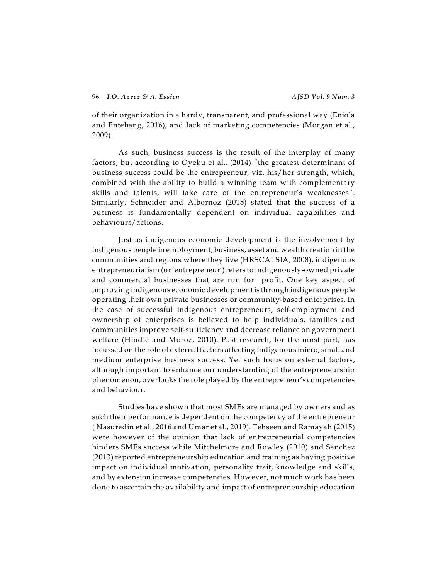of their organization in a hardy, transparent, and professional way (Eniola and Entebang, 2016); and lack of marketing competencies (Morgan et al., 2009).

As such, business success is the result of the interplay of many factors, but according to Oyeku et al., (2014) "the greatest determinant of business success could be the entrepreneur, viz. his/her strength, which, combined with the ability to build a winning team with complementary skills and talents, will take care of the entrepreneur's weaknesses". Similarly, Schneider and Albornoz (2018) stated that the success of a business is fundamentally dependent on individual capabilities and behaviours/actions.

Just as indigenous economic development is the involvement by indigenous people in employment, business, asset and wealth creation in the communities and regions where they live (HRSCATSIA, 2008), indigenous entrepreneurialism (or'entrepreneur')refers to indigenously-owned private and commercial businesses that are run for profit. One key aspect of improving indigenous economic development is through indigenous people operating their own private businesses or community-based enterprises. In the case of successful indigenous entrepreneurs, self-employment and ownership of enterprises is believed to help individuals, families and communities improve self-sufficiency and decrease reliance on government welfare (Hindle and Moroz, 2010). Past research, for the most part, has focussed on the role of external factors affecting indigenous micro, small and medium enterprise business success. Yet such focus on external factors, although important to enhance our understanding of the entrepreneurship phenomenon, overlooks the role played by the entrepreneur's competencies and behaviour.

Studies have shown that most SMEs are managed by owners and as such their performance is dependent on the competency of the entrepreneur ( Nasuredin et al., 2016 and Umar et al., 2019). Tehseen and Ramayah (2015) were however of the opinion that lack of entrepreneurial competencies hinders SMEs success while Mitchelmore and Rowley (2010) and Sánchez (2013) reported entrepreneurship education and training as having positive impact on individual motivation, personality trait, knowledge and skills, and by extension increase competencies. However, not much work has been done to ascertain the availability and impact of entrepreneurship education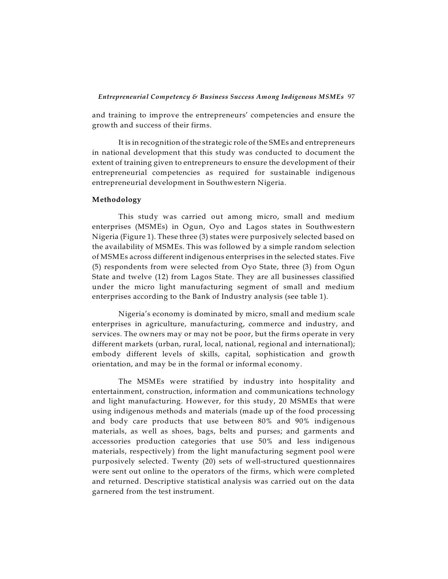and training to improve the entrepreneurs' competencies and ensure the growth and success of their firms.

It is in recognition of the strategic role of the SMEs and entrepreneurs in national development that this study was conducted to document the extent of training given to entrepreneurs to ensure the development of their entrepreneurial competencies as required for sustainable indigenous entrepreneurial development in Southwestern Nigeria.

## **Methodology**

This study was carried out among micro, small and medium enterprises (MSMEs) in Ogun, Oyo and Lagos states in Southwestern Nigeria (Figure 1). These three (3) states were purposively selected based on the availability of MSMEs. This was followed by a simple random selection of MSMEs across different indigenous enterprises in the selected states. Five (5) respondents from were selected from Oyo State, three (3) from Ogun State and twelve (12) from Lagos State. They are all businesses classified under the micro light manufacturing segment of small and medium enterprises according to the Bank of Industry analysis (see table 1).

Nigeria's economy is dominated by micro, small and medium scale enterprises in agriculture, manufacturing, commerce and industry, and services. The owners may or may not be poor, but the firms operate in very different markets (urban, rural, local, national, regional and international); embody different levels of skills, capital, sophistication and growth orientation, and may be in the formal or informal economy.

The MSMEs were stratified by industry into hospitality and entertainment, construction, information and communications technology and light manufacturing. However, for this study, 20 MSMEs that were using indigenous methods and materials (made up of the food processing and body care products that use between 80% and 90% indigenous materials, as well as shoes, bags, belts and purses; and garments and accessories production categories that use 50% and less indigenous materials, respectively) from the light manufacturing segment pool were purposively selected. Twenty (20) sets of well-structured questionnaires were sent out online to the operators of the firms, which were completed and returned. Descriptive statistical analysis was carried out on the data garnered from the test instrument.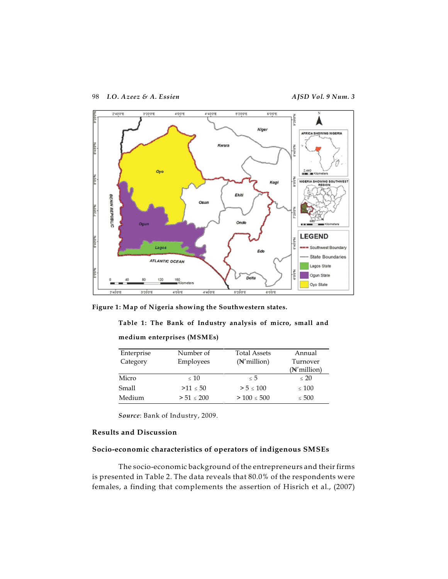

**Figure 1: Map of Nigeria showing the Southwestern states.**

**Table 1: The Bank of Industry analysis of micro, small and**

|  | medium enterprises (MSMEs) |  |
|--|----------------------------|--|
|--|----------------------------|--|

| Enterprise<br>Category | Number of  | <b>Total Assets</b> | Annual<br>Turnover |
|------------------------|------------|---------------------|--------------------|
|                        | Employees  | $(N'$ million)      | (N'million)        |
| Micro                  | ~< 10      | $\leq 5$            | $\leq 20$          |
| Small                  | >11 < 50   | > 5 < 100           | $\leq 100$         |
| Medium                 | > 51 < 200 | > 100 < 500         | $\leq 500$         |

*Source*: Bank of Industry, 2009.

# **Results and Discussion**

## **Socio-economic characteristics of operators of indigenous SMSEs**

The socio-economic background of the entrepreneurs and their firms is presented in Table 2. The data reveals that 80.0% of the respondents were females, a finding that complements the assertion of Hisrich et al., (2007)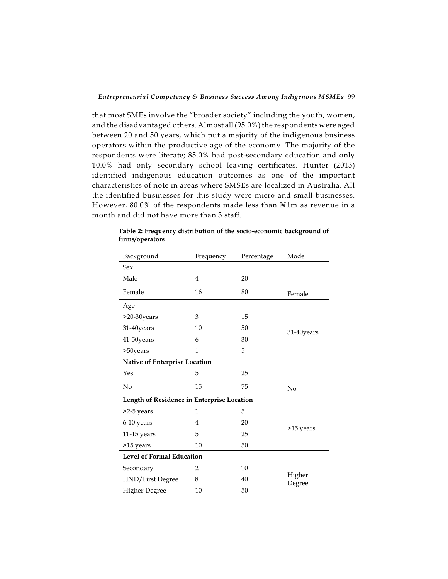that most SMEs involve the "broader society" including the youth, women, and the disadvantaged others. Almost all (95.0%) the respondents were aged between 20 and 50 years, which put a majority of the indigenous business operators within the productive age of the economy. The majority of the respondents were literate; 85.0% had post-secondary education and only 10.0% had only secondary school leaving certificates. Hunter (2013) identified indigenous education outcomes as one of the important characteristics of note in areas where SMSEs are localized in Australia. All the identified businesses for this study were micro and small businesses. However,  $80.0\%$  of the respondents made less than  $N1m$  as revenue in a month and did not have more than 3 staff.

| Background                                 | Frequency                        | Percentage | Mode             |  |  |
|--------------------------------------------|----------------------------------|------------|------------------|--|--|
| <b>Sex</b>                                 |                                  |            |                  |  |  |
| Male                                       | $\overline{4}$                   | 20         |                  |  |  |
| Female                                     | 16                               | 80         | Female           |  |  |
| Age                                        |                                  |            |                  |  |  |
| >20-30years                                | 3                                | 15         |                  |  |  |
| 31-40years                                 | 10                               | 50         | 31-40years       |  |  |
| 41-50years                                 | 6                                | 30         |                  |  |  |
| >50years                                   | 1                                | 5          |                  |  |  |
|                                            | Native of Enterprise Location    |            |                  |  |  |
| Yes                                        | 5                                | 25         |                  |  |  |
| No                                         | 15                               | 75         | No               |  |  |
| Length of Residence in Enterprise Location |                                  |            |                  |  |  |
| >2-5 years                                 | 1                                | 5          |                  |  |  |
| 6-10 years                                 | $\overline{4}$                   | 20         |                  |  |  |
| $11-15$ years                              | 5                                | 25         | >15 years        |  |  |
| >15 years                                  | 10                               | 50         |                  |  |  |
|                                            | <b>Level of Formal Education</b> |            |                  |  |  |
| Secondary                                  | 2                                | 10         |                  |  |  |
| HND/First Degree                           | 8                                | 40         | Higher<br>Degree |  |  |
| <b>Higher Degree</b>                       | 10                               | 50         |                  |  |  |

**Table 2: Frequency distribution of the socio-economic background of firms/operators**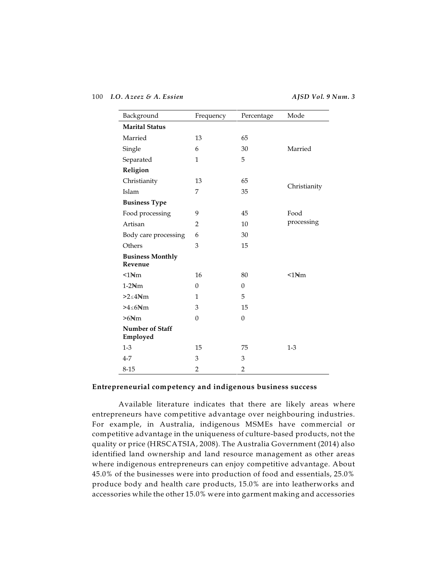100 *I.O. Azeez & A. Essien AJSD Vol. 9 Num. 3*

| Background                         | Frequency      | Percentage     | Mode                     |
|------------------------------------|----------------|----------------|--------------------------|
| <b>Marital Status</b>              |                |                |                          |
| Married                            | 13             | 65             |                          |
| Single                             | 6              | 30             | Married                  |
| Separated                          | $\mathbf{1}$   | 5              |                          |
| Religion                           |                |                |                          |
| Christianity                       | 13             | 65             |                          |
| Islam                              | 7              | 35             | Christianity             |
| <b>Business Type</b>               |                |                |                          |
| Food processing                    | 9              | 45             | Food                     |
| Artisan                            | $\overline{2}$ | 10             | processing               |
| Body care processing               | 6              | 30             |                          |
| Others                             | 3              | 15             |                          |
| <b>Business Monthly</b><br>Revenue |                |                |                          |
| $<1$ N <sub>tm</sub>               | 16             | 80             | $\leq 1$ N <sub>tm</sub> |
| $1-2$ N <sub>m</sub>               | $\theta$       | $\theta$       |                          |
| $>2<4$ N <sub>m</sub>              | 1              | 5              |                          |
| $>4 < 6$ N/m                       | 3              | 15             |                          |
| $>6$ N <sub>m</sub>                | $\Omega$       | $\theta$       |                          |
| Number of Staff<br>Employed        |                |                |                          |
| $1-3$                              | 15             | 75             | $1 - 3$                  |
| $4 - 7$                            | 3              | 3              |                          |
| $8 - 15$                           | $\overline{2}$ | $\overline{2}$ |                          |

## **Entrepreneurial competency and indigenous business success**

Available literature indicates that there are likely areas where entrepreneurs have competitive advantage over neighbouring industries. For example, in Australia, indigenous MSMEs have commercial or competitive advantage in the uniqueness of culture-based products, not the quality or price (HRSCATSIA, 2008). The Australia Government (2014) also identified land ownership and land resource management as other areas where indigenous entrepreneurs can enjoy competitive advantage. About 45.0% of the businesses were into production of food and essentials, 25.0% produce body and health care products, 15.0% are into leatherworks and accessories while the other 15.0% were into garment making and accessories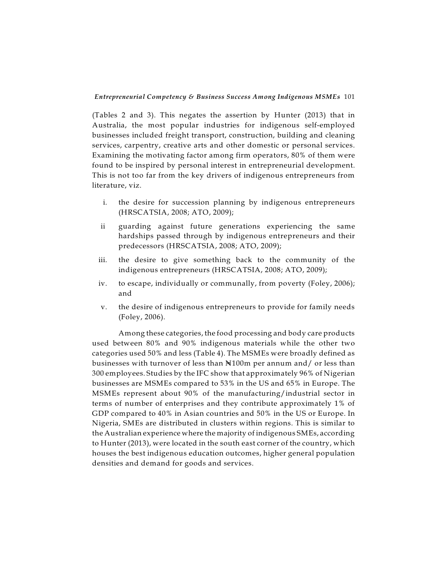(Tables 2 and 3). This negates the assertion by Hunter (2013) that in Australia, the most popular industries for indigenous self-employed businesses included freight transport, construction, building and cleaning services, carpentry, creative arts and other domestic or personal services. Examining the motivating factor among firm operators, 80% of them were found to be inspired by personal interest in entrepreneurial development. This is not too far from the key drivers of indigenous entrepreneurs from literature, viz.

- i. the desire for succession planning by indigenous entrepreneurs (HRSCATSIA, 2008; ATO, 2009);
- ii guarding against future generations experiencing the same hardships passed through by indigenous entrepreneurs and their predecessors (HRSCATSIA, 2008; ATO, 2009);
- iii. the desire to give something back to the community of the indigenous entrepreneurs (HRSCATSIA, 2008; ATO, 2009);
- iv. to escape, individually or communally, from poverty (Foley, 2006); and
- v. the desire of indigenous entrepreneurs to provide for family needs (Foley, 2006).

Among these categories, the food processing and body care products used between 80% and 90% indigenous materials while the other two categories used 50% and less (Table 4). The MSMEs were broadly defined as businesses with turnover of less than  $\mathbb{N}100m$  per annum and/ or less than 300 employees. Studies by the IFC show that approximately 96% of Nigerian businesses are MSMEs compared to 53% in the US and 65% in Europe. The MSMEs represent about 90% of the manufacturing/industrial sector in terms of number of enterprises and they contribute approximately 1% of GDP compared to 40% in Asian countries and 50% in the US or Europe. In Nigeria, SMEs are distributed in clusters within regions. This is similar to the Australian experience where the majority of indigenous SMEs, according to Hunter (2013), were located in the south east corner of the country, which houses the best indigenous education outcomes, higher general population densities and demand for goods and services.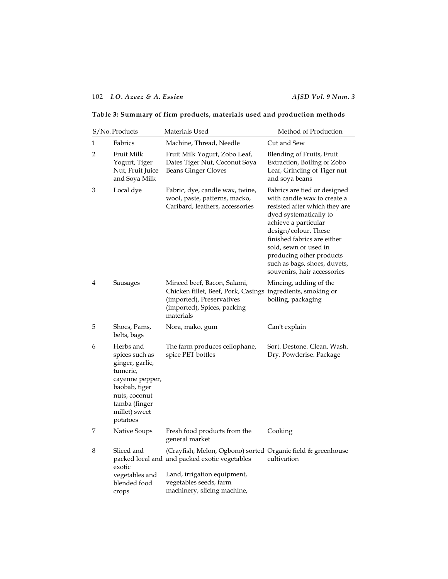# 102 *I.O. Azeez & A. Essien AJSD Vol. 9 Num. 3*

| Table 3: Summary of firm products, materials used and production methods |  |  |  |
|--------------------------------------------------------------------------|--|--|--|
|                                                                          |  |  |  |

|   | S/No. Products                                                                                                                                                | Materials Used                                                                                                                                                                                       | Method of Production                                                                                                                                                                                                                                                                                                      |
|---|---------------------------------------------------------------------------------------------------------------------------------------------------------------|------------------------------------------------------------------------------------------------------------------------------------------------------------------------------------------------------|---------------------------------------------------------------------------------------------------------------------------------------------------------------------------------------------------------------------------------------------------------------------------------------------------------------------------|
| 1 | Fabrics                                                                                                                                                       | Machine, Thread, Needle                                                                                                                                                                              | Cut and Sew                                                                                                                                                                                                                                                                                                               |
| 2 | Fruit Milk<br>Yogurt, Tiger<br>Nut, Fruit Juice<br>and Soya Milk                                                                                              | Fruit Milk Yogurt, Zobo Leaf,<br>Dates Tiger Nut, Coconut Soya<br><b>Beans Ginger Cloves</b>                                                                                                         | Blending of Fruits, Fruit<br>Extraction, Boiling of Zobo<br>Leaf, Grinding of Tiger nut<br>and soya beans                                                                                                                                                                                                                 |
| 3 | Local dye                                                                                                                                                     | Fabric, dye, candle wax, twine,<br>wool, paste, patterns, macko,<br>Caribard, leathers, accessories                                                                                                  | Fabrics are tied or designed<br>with candle wax to create a<br>resisted after which they are<br>dyed systematically to<br>achieve a particular<br>design/colour. These<br>finished fabrics are either<br>sold, sewn or used in<br>producing other products<br>such as bags, shoes, duvets,<br>souvenirs, hair accessories |
| 4 | Sausages                                                                                                                                                      | Minced beef, Bacon, Salami,<br>Chicken fillet, Beef, Pork, Casings ingredients, smoking or<br>(imported), Preservatives<br>(imported), Spices, packing<br>materials                                  | Mincing, adding of the<br>boiling, packaging                                                                                                                                                                                                                                                                              |
| 5 | Shoes, Pams,<br>belts, bags                                                                                                                                   | Nora, mako, gum                                                                                                                                                                                      | Can't explain                                                                                                                                                                                                                                                                                                             |
| 6 | Herbs and<br>spices such as<br>ginger, garlic,<br>tumeric,<br>cayenne pepper,<br>baobab, tiger<br>nuts, coconut<br>tamba (finger<br>millet) sweet<br>potatoes | The farm produces cellophane,<br>spice PET bottles                                                                                                                                                   | Sort. Destone. Clean. Wash.<br>Dry. Powderise. Package                                                                                                                                                                                                                                                                    |
| 7 | Native Soups                                                                                                                                                  | Fresh food products from the<br>general market                                                                                                                                                       | Cooking                                                                                                                                                                                                                                                                                                                   |
| 8 | Sliced and<br>exotic<br>vegetables and<br>blended food<br>crops                                                                                               | (Crayfish, Melon, Ogbono) sorted Organic field & greenhouse<br>packed local and and packed exotic vegetables<br>Land, irrigation equipment,<br>vegetables seeds, farm<br>machinery, slicing machine, | cultivation                                                                                                                                                                                                                                                                                                               |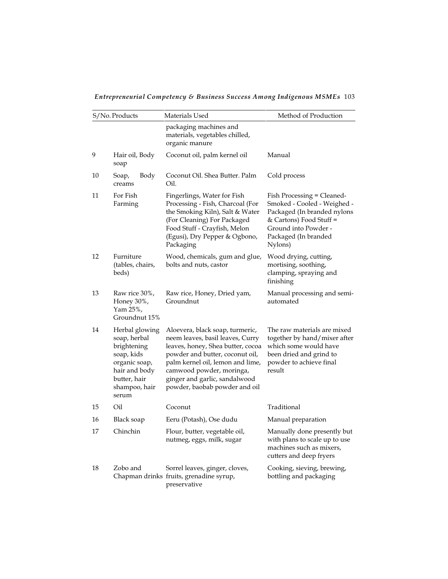*Entrepreneurial Competency & Business Success Among Indigenous MSMEs* 103

|    | S/No. Products                                                                                                                          | Materials Used                                                                                                                                                                                                                                                                | Method of Production                                                                                                                                                           |
|----|-----------------------------------------------------------------------------------------------------------------------------------------|-------------------------------------------------------------------------------------------------------------------------------------------------------------------------------------------------------------------------------------------------------------------------------|--------------------------------------------------------------------------------------------------------------------------------------------------------------------------------|
|    |                                                                                                                                         | packaging machines and<br>materials, vegetables chilled,<br>organic manure                                                                                                                                                                                                    |                                                                                                                                                                                |
| 9  | Hair oil, Body<br>soap                                                                                                                  | Coconut oil, palm kernel oil                                                                                                                                                                                                                                                  | Manual                                                                                                                                                                         |
| 10 | Body<br>Soap,<br>creams                                                                                                                 | Coconut Oil. Shea Butter. Palm<br>Oil.                                                                                                                                                                                                                                        | Cold process                                                                                                                                                                   |
| 11 | For Fish<br>Farming                                                                                                                     | Fingerlings, Water for Fish<br>Processing - Fish, Charcoal (For<br>the Smoking Kiln), Salt & Water<br>(For Cleaning) For Packaged<br>Food Stuff - Crayfish, Melon<br>(Egusi), Dry Pepper & Ogbono,<br>Packaging                                                               | Fish Processing = Cleaned-<br>Smoked - Cooled - Weighed -<br>Packaged (In branded nylons<br>& Cartons) Food Stuff =<br>Ground into Powder -<br>Packaged (In branded<br>Nylons) |
| 12 | Furniture<br>(tables, chairs,<br>beds)                                                                                                  | Wood, chemicals, gum and glue,<br>bolts and nuts, castor                                                                                                                                                                                                                      | Wood drying, cutting,<br>mortising, soothing,<br>clamping, spraying and<br>finishing                                                                                           |
| 13 | Raw rice 30%,<br>Honey 30%,<br>Yam 25%,<br>Groundnut 15%                                                                                | Raw rice, Honey, Dried yam,<br>Groundnut                                                                                                                                                                                                                                      | Manual processing and semi-<br>automated                                                                                                                                       |
| 14 | Herbal glowing<br>soap, herbal<br>brightening<br>soap, kids<br>organic soap,<br>hair and body<br>butter, hair<br>shampoo, hair<br>serum | Aloevera, black soap, turmeric,<br>neem leaves, basil leaves, Curry<br>leaves, honey, Shea butter, cocoa<br>powder and butter, coconut oil,<br>palm kernel oil, lemon and lime,<br>camwood powder, moringa,<br>ginger and garlic, sandalwood<br>powder, baobab powder and oil | The raw materials are mixed<br>together by hand/mixer after<br>which some would have<br>been dried and grind to<br>powder to achieve final<br>result                           |
| 15 | Oil                                                                                                                                     | Coconut                                                                                                                                                                                                                                                                       | Traditional                                                                                                                                                                    |
| 16 | Black soap                                                                                                                              | Eeru (Potash), Ose dudu                                                                                                                                                                                                                                                       | Manual preparation                                                                                                                                                             |
| 17 | Chinchin                                                                                                                                | Flour, butter, vegetable oil,<br>nutmeg, eggs, milk, sugar                                                                                                                                                                                                                    | Manually done presently but<br>with plans to scale up to use<br>machines such as mixers,<br>cutters and deep fryers                                                            |
| 18 | Zobo and                                                                                                                                | Sorrel leaves, ginger, cloves,<br>Chapman drinks fruits, grenadine syrup,<br>preservative                                                                                                                                                                                     | Cooking, sieving, brewing,<br>bottling and packaging                                                                                                                           |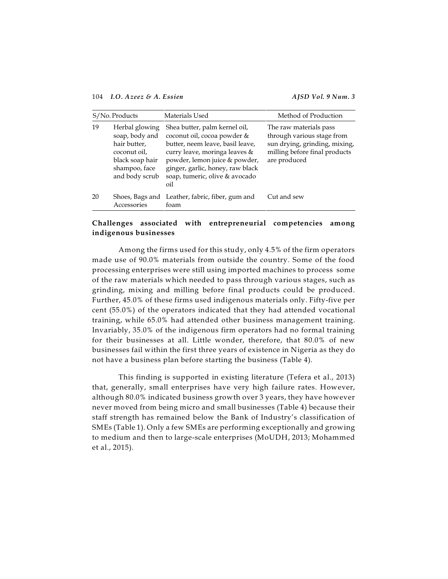104 *I.O. Azeez & A. Essien AJSD Vol. 9 Num. 3*

| S/No. Products |                                                                                                                        | Materials Used                                                                                                                                                                                                                                  | Method of Production                                                                                                                   |  |
|----------------|------------------------------------------------------------------------------------------------------------------------|-------------------------------------------------------------------------------------------------------------------------------------------------------------------------------------------------------------------------------------------------|----------------------------------------------------------------------------------------------------------------------------------------|--|
| 19             | Herbal glowing<br>soap, body and<br>hair butter,<br>coconut oil,<br>black soap hair<br>shampoo, face<br>and body scrub | Shea butter, palm kernel oil,<br>coconut oil, cocoa powder &<br>butter, neem leave, basil leave,<br>curry leave, moringa leaves &<br>powder, lemon juice & powder,<br>ginger, garlic, honey, raw black<br>soap, tumeric, olive & avocado<br>oil | The raw materials pass<br>through various stage from<br>sun drying, grinding, mixing,<br>milling before final products<br>are produced |  |
| 20             | Accessories                                                                                                            | Shoes, Bags and Leather, fabric, fiber, gum and<br>foam                                                                                                                                                                                         | Cut and sew                                                                                                                            |  |

# **Challenges associated with entrepreneurial competencies among indigenous businesses**

Among the firms used for this study, only 4.5% of the firm operators made use of 90.0% materials from outside the country. Some of the food processing enterprises were still using imported machines to process some of the raw materials which needed to pass through various stages, such as grinding, mixing and milling before final products could be produced. Further, 45.0% of these firms used indigenous materials only. Fifty-five per cent (55.0%) of the operators indicated that they had attended vocational training, while 65.0% had attended other business management training. Invariably, 35.0% of the indigenous firm operators had no formal training for their businesses at all. Little wonder, therefore, that 80.0% of new businesses fail within the first three years of existence in Nigeria as they do not have a business plan before starting the business (Table 4).

This finding is supported in existing literature (Tefera et al., 2013) that, generally, small enterprises have very high failure rates. However, although 80.0% indicated business growth over 3 years, they have however never moved from being micro and small businesses (Table 4) because their staff strength has remained below the Bank of Industry's classification of SMEs (Table 1). Only a few SMEs are performing exceptionally and growing to medium and then to large-scale enterprises (MoUDH, 2013; Mohammed et al., 2015).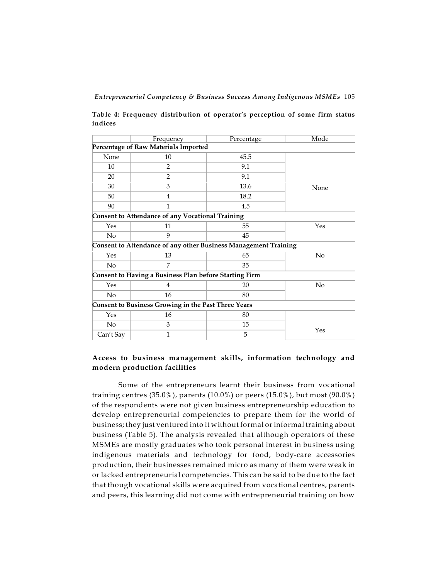**Table 4: Frequency distribution of operator's perception of some firm status indices**

|                                                            | Frequency                                                       | Percentage | Mode |  |  |
|------------------------------------------------------------|-----------------------------------------------------------------|------------|------|--|--|
|                                                            | Percentage of Raw Materials Imported                            |            |      |  |  |
| None                                                       | 10                                                              | 45.5       |      |  |  |
| 10                                                         | 2                                                               | 9.1        |      |  |  |
| 20                                                         | $\overline{2}$                                                  | 9.1        |      |  |  |
| 30                                                         | 3                                                               | 13.6       | None |  |  |
| 50                                                         | 4                                                               | 18.2       |      |  |  |
| 90                                                         | $\mathbf{1}$                                                    | 4.5        |      |  |  |
|                                                            | <b>Consent to Attendance of any Vocational Training</b>         |            |      |  |  |
| Yes                                                        | 11                                                              | 55         | Yes  |  |  |
| N <sub>o</sub>                                             | 9                                                               | 45         |      |  |  |
|                                                            | Consent to Attendance of any other Business Management Training |            |      |  |  |
| Yes                                                        | 13                                                              | 65         | No   |  |  |
| $\rm No$                                                   | 7                                                               | 35         |      |  |  |
|                                                            | Consent to Having a Business Plan before Starting Firm          |            |      |  |  |
| Yes                                                        | 4                                                               | 20         | No   |  |  |
| $\rm No$                                                   | 16                                                              | 80         |      |  |  |
| <b>Consent to Business Growing in the Past Three Years</b> |                                                                 |            |      |  |  |
| Yes                                                        | 16                                                              | 80         |      |  |  |
| N <sub>o</sub>                                             | 3                                                               | 15         |      |  |  |
| Can't Say                                                  | 1                                                               | 5          | Yes  |  |  |

# **Access to business management skills, information technology and modern production facilities**

Some of the entrepreneurs learnt their business from vocational training centres  $(35.0\%)$ , parents  $(10.0\%)$  or peers  $(15.0\%)$ , but most  $(90.0\%)$ of the respondents were not given business entrepreneurship education to develop entrepreneurial competencies to prepare them for the world of business; they just ventured into it without formal or informal training about business (Table 5). The analysis revealed that although operators of these MSMEs are mostly graduates who took personal interest in business using indigenous materials and technology for food, body-care accessories production, their businesses remained micro as many of them were weak in or lacked entrepreneurial competencies. This can be said to be due to the fact that though vocational skills were acquired from vocational centres, parents and peers, this learning did not come with entrepreneurial training on how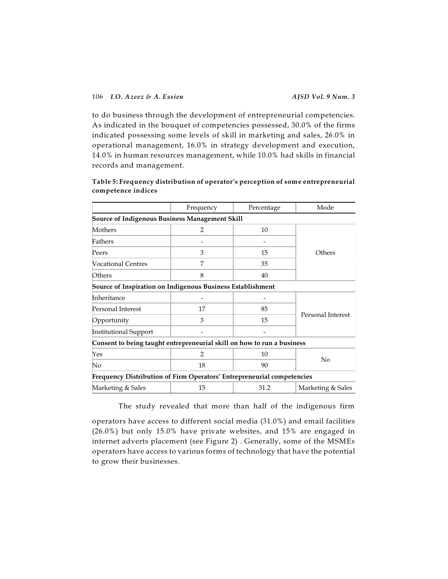to do business through the development of entrepreneurial competencies. As indicated in the bouquet of competencies possessed, 30.0% of the firms indicated possessing some levels of skill in marketing and sales, 26.0% in operational management, 16.0% in strategy development and execution, 14.0% in human resources management, while 10.0% had skills in financial records and management.

|                                                                        | Frequency      | Percentage | Mode              |
|------------------------------------------------------------------------|----------------|------------|-------------------|
| <b>Source of Indigenous Business Management Skill</b>                  |                |            |                   |
| Mothers                                                                | $\overline{2}$ | 10         |                   |
| Fathers                                                                |                |            |                   |
| Peers                                                                  | 3              | 15         | Others            |
| <b>Nocational Centres</b>                                              | 7              | 35         |                   |
| Others                                                                 | 8              | 40         |                   |
| Source of Inspiration on Indigenous Business Establishment             |                |            |                   |
| Inheritance                                                            |                |            |                   |
| Personal Interest                                                      | 17             | 85         |                   |
| Opportunity                                                            | 3              | 15         | Personal Interest |
| Institutional Support                                                  |                |            |                   |
| Consent to being taught entrepreneurial skill on how to run a business |                |            |                   |
| Yes                                                                    | $\overline{2}$ | 10         |                   |
| No                                                                     | 18             | 90         | No                |
| Frequency Distribution of Firm Operators' Entrepreneurial competencies |                |            |                   |
| Marketing & Sales                                                      | 15             | 31.2       | Marketing & Sales |

# **Table 5: Frequency distribution of operator's perception of some entrepreneurial competence indices**

The study revealed that more than half of the indigenous firm

operators have access to different social media (31.0%) and email facilities (26.0%) but only 15.0% have private websites, and 15% are engaged in internet adverts placement (see Figure 2) . Generally, some of the MSMEs operators have access to various forms of technology that have the potential to grow their businesses.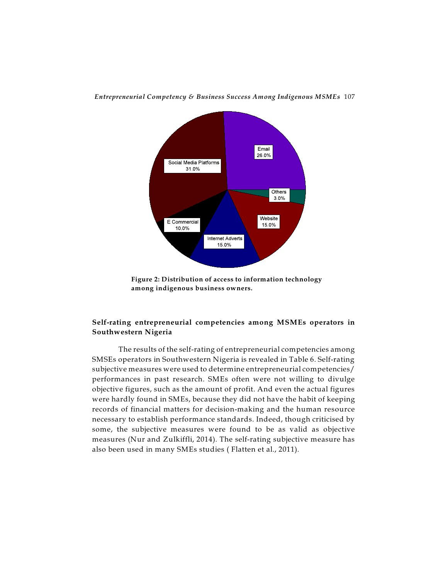

**Figure 2: Distribution of access to information technology among indigenous business owners.**

# **Self-rating entrepreneurial competencies among MSMEs operators in Southwestern Nigeria**

The results of the self-rating of entrepreneurial competencies among SMSEs operators in Southwestern Nigeria is revealed in Table 6. Self-rating subjective measures were used to determine entrepreneurial competencies/ performances in past research. SMEs often were not willing to divulge objective figures, such as the amount of profit. And even the actual figures were hardly found in SMEs, because they did not have the habit of keeping records of financial matters for decision-making and the human resource necessary to establish performance standards. Indeed, though criticised by some, the subjective measures were found to be as valid as objective measures (Nur and Zulkiffli, 2014). The self-rating subjective measure has also been used in many SMEs studies ( Flatten et al., 2011).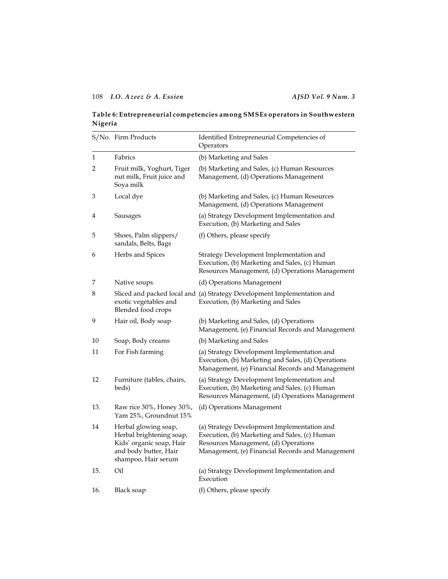# **Table 6: Entrepreneurial competencies among SMSEs operators in Southwestern Nigeria**

|     | S/No. Firm Products                                                                                                          | Identified Entrepreneurial Competencies of<br>Operators                                                                                                                                  |
|-----|------------------------------------------------------------------------------------------------------------------------------|------------------------------------------------------------------------------------------------------------------------------------------------------------------------------------------|
| 1   | Fabrics                                                                                                                      | (b) Marketing and Sales                                                                                                                                                                  |
| 2   | Fruit milk, Yoghurt, Tiger<br>nut milk, Fruit juice and<br>Soya milk                                                         | (b) Marketing and Sales, (c) Human Resources<br>Management, (d) Operations Management                                                                                                    |
| 3   | Local dye                                                                                                                    | (b) Marketing and Sales, (c) Human Resources<br>Management, (d) Operations Management                                                                                                    |
| 4   | Sausages                                                                                                                     | (a) Strategy Development Implementation and<br>Execution, (b) Marketing and Sales                                                                                                        |
| 5   | Shoes, Palm slippers/<br>sandals, Belts, Bags                                                                                | (f) Others, please specify                                                                                                                                                               |
| 6   | Herbs and Spices                                                                                                             | Strategy Development Implementation and<br>Execution, (b) Marketing and Sales, (c) Human<br>Resources Management, (d) Operations Management                                              |
| 7   | Native soups                                                                                                                 | (d) Operations Management                                                                                                                                                                |
| 8   | exotic vegetables and<br>Blended food crops                                                                                  | Sliced and packed local and (a) Strategy Development Implementation and<br>Execution, (b) Marketing and Sales                                                                            |
| 9   | Hair oil, Body soap                                                                                                          | (b) Marketing and Sales, (d) Operations<br>Management, (e) Financial Records and Management                                                                                              |
| 10  | Soap, Body creams                                                                                                            | (b) Marketing and Sales                                                                                                                                                                  |
| 11  | For Fish farming                                                                                                             | (a) Strategy Development Implementation and<br>Execution, (b) Marketing and Sales, (d) Operations<br>Management, (e) Financial Records and Management                                    |
| 12  | Furniture (tables, chairs,<br>beds)                                                                                          | (a) Strategy Development Implementation and<br>Execution, (b) Marketing and Sales, (c) Human<br>Resources Management, (d) Operations Management                                          |
| 13. | Raw rice 30%, Honey 30%,<br>Yam 25%, Groundnut 15%                                                                           | (d) Operations Management                                                                                                                                                                |
| 14  | Herbal glowing soap,<br>Herbal brightening soap,<br>Kids' organic soap, Hair<br>and body butter, Hair<br>shampoo, Hair serum | (a) Strategy Development Implementation and<br>Execution, (b) Marketing and Sales, (c) Human<br>Resources Management, (d) Operations<br>Management, (e) Financial Records and Management |
| 15. | Oil                                                                                                                          | (a) Strategy Development Implementation and<br>Execution                                                                                                                                 |
| 16. | <b>Black soap</b>                                                                                                            | (f) Others, please specify                                                                                                                                                               |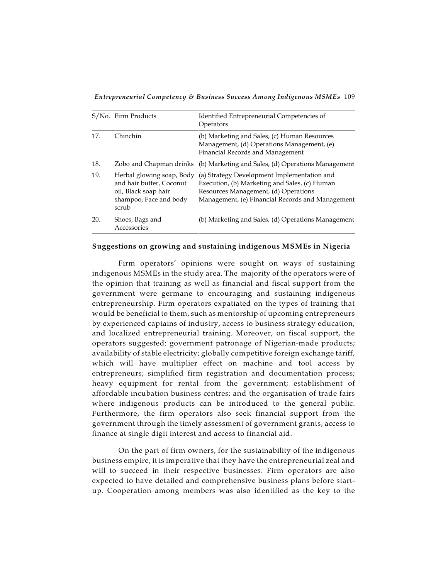*Entrepreneurial Competency & Business Success Among Indigenous MSMEs* 109

|     | S/No. Firm Products                                                                                              | Identified Entrepreneurial Competencies of<br>Operators                                                                                                                                  |
|-----|------------------------------------------------------------------------------------------------------------------|------------------------------------------------------------------------------------------------------------------------------------------------------------------------------------------|
| 17. | Chinchin                                                                                                         | (b) Marketing and Sales, (c) Human Resources<br>Management, (d) Operations Management, (e)<br>Financial Records and Management                                                           |
| 18. | Zobo and Chapman drinks                                                                                          | (b) Marketing and Sales, (d) Operations Management                                                                                                                                       |
| 19. | Herbal glowing soap, Body<br>and hair butter, Coconut<br>oil, Black soap hair<br>shampoo, Face and body<br>scrub | (a) Strategy Development Implementation and<br>Execution, (b) Marketing and Sales, (c) Human<br>Resources Management, (d) Operations<br>Management, (e) Financial Records and Management |
| 20. | Shoes, Bags and<br>Accessories                                                                                   | (b) Marketing and Sales, (d) Operations Management                                                                                                                                       |

### **Suggestions on growing and sustaining indigenous MSMEs in Nigeria**

Firm operators' opinions were sought on ways of sustaining indigenous MSMEs in the study area. The majority of the operators were of the opinion that training as well as financial and fiscal support from the government were germane to encouraging and sustaining indigenous entrepreneurship. Firm operators expatiated on the types of training that would be beneficial to them, such as mentorship of upcoming entrepreneurs by experienced captains of industry, access to business strategy education, and localized entrepreneurial training. Moreover, on fiscal support, the operators suggested: government patronage of Nigerian-made products; availability of stable electricity; globally competitive foreign exchange tariff, which will have multiplier effect on machine and tool access by entrepreneurs; simplified firm registration and documentation process; heavy equipment for rental from the government; establishment of affordable incubation business centres; and the organisation of trade fairs where indigenous products can be introduced to the general public. Furthermore, the firm operators also seek financial support from the government through the timely assessment of government grants, access to finance at single digit interest and access to financial aid.

On the part of firm owners, for the sustainability of the indigenous business empire, it is imperative that they have the entrepreneurial zeal and will to succeed in their respective businesses. Firm operators are also expected to have detailed and comprehensive business plans before startup. Cooperation among members was also identified as the key to the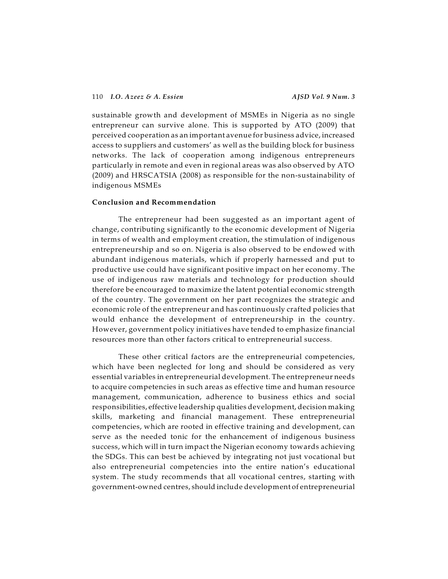sustainable growth and development of MSMEs in Nigeria as no single entrepreneur can survive alone. This is supported by ATO (2009) that perceived cooperation as an important avenue for business advice, increased access to suppliers and customers' as well as the building block for business networks. The lack of cooperation among indigenous entrepreneurs particularly in remote and even in regional areas was also observed by ATO (2009) and HRSCATSIA (2008) as responsible for the non-sustainability of indigenous MSMEs

## **Conclusion and Recommendation**

The entrepreneur had been suggested as an important agent of change, contributing significantly to the economic development of Nigeria in terms of wealth and employment creation, the stimulation of indigenous entrepreneurship and so on. Nigeria is also observed to be endowed with abundant indigenous materials, which if properly harnessed and put to productive use could have significant positive impact on her economy. The use of indigenous raw materials and technology for production should therefore be encouraged to maximize the latent potential economic strength of the country. The government on her part recognizes the strategic and economic role of the entrepreneur and has continuously crafted policies that would enhance the development of entrepreneurship in the country. However, government policy initiatives have tended to emphasize financial resources more than other factors critical to entrepreneurial success.

These other critical factors are the entrepreneurial competencies, which have been neglected for long and should be considered as very essential variables in entrepreneurial development. The entrepreneur needs to acquire competencies in such areas as effective time and human resource management, communication, adherence to business ethics and social responsibilities, effective leadership qualities development, decision making skills, marketing and financial management. These entrepreneurial competencies, which are rooted in effective training and development, can serve as the needed tonic for the enhancement of indigenous business success, which will in turn impact the Nigerian economy towards achieving the SDGs. This can best be achieved by integrating not just vocational but also entrepreneurial competencies into the entire nation's educational system. The study recommends that all vocational centres, starting with government-owned centres, should include development of entrepreneurial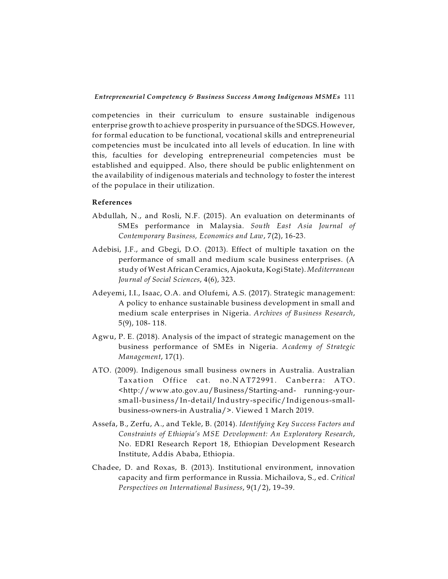competencies in their curriculum to ensure sustainable indigenous enterprise growth to achieve prosperity in pursuance of the SDGS. However, for formal education to be functional, vocational skills and entrepreneurial competencies must be inculcated into all levels of education. In line with this, faculties for developing entrepreneurial competencies must be established and equipped. Also, there should be public enlightenment on the availability of indigenous materials and technology to foster the interest of the populace in their utilization.

## **References**

- Abdullah, N., and Rosli, N.F. (2015). An evaluation on determinants of SMEs performance in Malaysia. *South East Asia Journal of Contemporary Business, Economics and Law*, 7(2), 16-23.
- Adebisi, J.F., and Gbegi, D.O. (2013). Effect of multiple taxation on the performance of small and medium scale business enterprises. (A study of West African Ceramics, Ajaokuta, Kogi State). *Mediterranean Journal of Social Sciences*, 4(6), 323.
- Adeyemi, I.I., Isaac, O.A. and Olufemi, A.S. (2017). Strategic management: A policy to enhance sustainable business development in small and medium scale enterprises in Nigeria. *Archives of Business Research*, 5(9), 108- 118.
- Agwu, P. E. (2018). Analysis of the impact of strategic management on the business performance of SMEs in Nigeria. *Academy of Strategic Management*, 17(1).
- ATO. (2009). Indigenous small business owners in Australia. Australian Taxation Office cat. no.NAT72991. Canberra: ATO. <http://www.ato.gov.au/Business/Starting-and- running-yoursmall-business/In-detail/Industry-specific/Indigenous-smallbusiness-owners-in Australia/>. Viewed 1 March 2019.
- Assefa, B., Zerfu, A., and Tekle, B. (2014). *Identifying Key Success Factors and Constraints of Ethiopia's MSE Development: An Exploratory Research*, No. EDRI Research Report 18, Ethiopian Development Research Institute, Addis Ababa, Ethiopia.
- Chadee, D. and Roxas, B. (2013). Institutional environment, innovation capacity and firm performance in Russia. Michailova, S., ed. *Critical Perspectives on International Business*, 9(1/2), 19–39.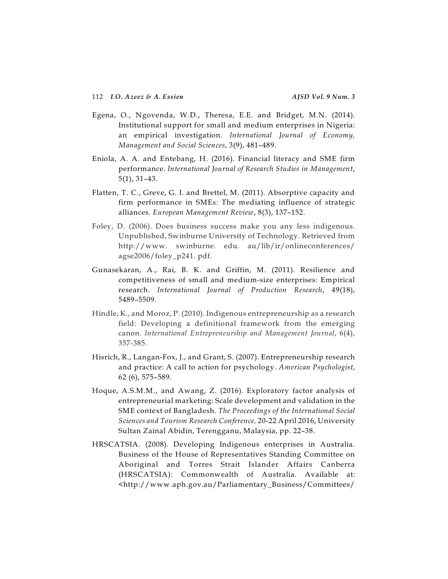- Egena, O., Ngovenda, W.D., Theresa, E.E. and Bridget, M.N. (2014). Institutional support for small and medium enterprises in Nigeria: an empirical investigation. *International Journal of Economy, Management and Social Sciences*, 3(9), 481–489.
- Eniola, A. A. and Entebang, H. (2016). Financial literacy and SME firm performance. *International Journal of Research Studies in Management*, 5(1), 31–43.
- Flatten, T. C., Greve, G. I. and Brettel, M. (2011). Absorptive capacity and firm performance in SMEs: The mediating influence of strategic alliances. *European Management Review*, 8(3), 137–152.
- Foley, D. (2006). Does business success make you any less indigenous. Unpublished, Swinburne University of Technology. Retrieved from http://www. swinburne. edu. au/lib/ir/onlineconferences/ agse2006/foley\_p241. pdf.
- Gunasekaran, A., Rai, B. K. and Griffin, M. (2011). Resilience and competitiveness of small and medium-size enterprises: Empirical research. *International Journal of Production Research*, 49(18), 5489–5509.
- Hindle, K., and Moroz, P. (2010). Indigenous entrepreneurship as a research field: Developing a definitional framework from the emerging canon. *International Entrepreneurship and Management Journal*, 6(4), 357-385.
- Hisrich, R., Langan-Fox, J., and Grant, S. (2007). Entrepreneurship research and practice: A call to action for psychology. *American Psychologist*, 62 (6), 575–589.
- Hoque, A.S.M.M., and Awang, Z. (2016). Exploratory factor analysis of entrepreneurial marketing: Scale development and validation in the SME context of Bangladesh. *The Proceedings of the International Social Sciences and Tourism Research Conference,* 20-22 April 2016, University Sultan Zainal Abidin, Terengganu, Malaysia, pp. 22–38.
- HRSCATSIA. (2008). Developing Indigenous enterprises in Australia. Business of the House of Representatives Standing Committee on Aboriginal and Torres Strait Islander Affairs Canberra (HRSCATSIA): Commonwealth of Australia. Available at: <http://www.aph.gov.au/Parliamentary\_Business/Committees/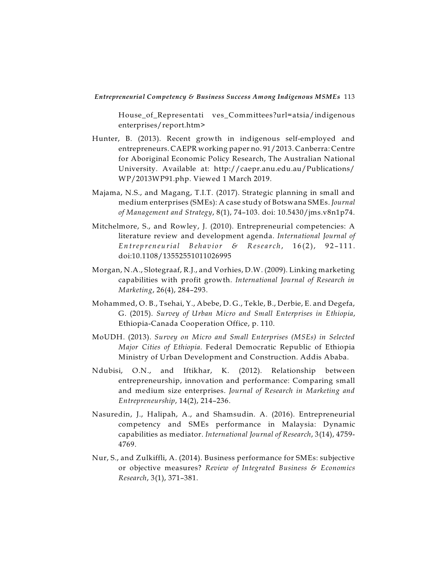House\_of\_Representati ves\_Committees?url=atsia/indigenous enterprises/report.htm>

- Hunter, B. (2013). Recent growth in indigenous self-employed and entrepreneurs. CAEPR working paper no. 91/2013. Canberra: Centre for Aboriginal Economic Policy Research, The Australian National University. Available at: http://caepr.anu.edu.au/Publications/ WP/2013WP91.php. Viewed 1 March 2019.
- Majama, N.S., and Magang, T.I.T. (2017). Strategic planning in small and medium enterprises (SMEs): A case study of Botswana SMEs. *Journal of Management and Strategy*, 8(1), 74–103. doi: 10.5430/jms.v8n1p74.
- Mitchelmore, S., and Rowley, J. (2010). Entrepreneurial competencies: A literature review and development agenda. *International Journal of* Entrepreneurial Behavior & Research, 16(2), 92-111. doi:10.1108/13552551011026995
- Morgan, N.A., Slotegraaf, R.J., and Vorhies, D.W. (2009). Linking marketing capabilities with profit growth. *International Journal of Research in Marketing*, 26(4), 284–293.
- Mohammed, O. B., Tsehai, Y., Abebe, D. G., Tekle, B., Derbie, E. and Degefa, G. (2015). *Survey of Urban Micro and Small Enterprises in Ethiopia*, Ethiopia-Canada Cooperation Office, p. 110.
- MoUDH. (2013). *Survey on Micro and Small Enterprises (MSEs) in Selected Major Cities of Ethiopia*. Federal Democratic Republic of Ethiopia Ministry of Urban Development and Construction. Addis Ababa.
- Ndubisi, O.N., and Iftikhar, K. (2012). Relationship between entrepreneurship, innovation and performance: Comparing small and medium size enterprises. *Journal of Research in Marketing and Entrepreneurship*, 14(2), 214–236.
- Nasuredin, J., Halipah, A., and Shamsudin. A. (2016). Entrepreneurial competency and SMEs performance in Malaysia: Dynamic capabilities as mediator. *International Journal of Research*, 3(14), 4759- 4769.
- Nur, S., and Zulkiffli, A. (2014). Business performance for SMEs: subjective or objective measures? *Review of Integrated Business & Economics Research*, 3(1), 371–381.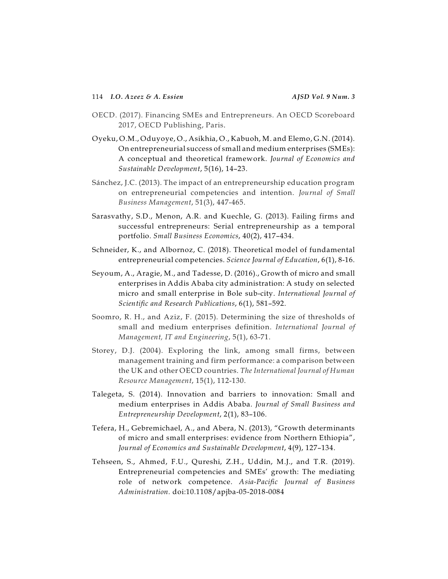- OECD. (2017). Financing SMEs and Entrepreneurs. An OECD Scoreboard 2017, OECD Publishing, Paris.
- Oyeku, O.M., Oduyoye, O., Asikhia, O., Kabuoh, M. and Elemo, G.N. (2014). On entrepreneurial success of small and medium enterprises (SMEs): A conceptual and theoretical framework. *Journal of Economics and Sustainable Development*, 5(16), 14–23.
- Sánchez, J.C. (2013). The impact of an entrepreneurship education program on entrepreneurial competencies and intention. *Journal of Small Business Management*, 51(3), 447-465.
- Sarasvathy, S.D., Menon, A.R. and Kuechle, G. (2013). Failing firms and successful entrepreneurs: Serial entrepreneurship as a temporal portfolio. *Small Business Economics*, 40(2), 417–434.
- Schneider, K., and Albornoz, C. (2018). Theoretical model of fundamental entrepreneurial competencies. *Science Journal of Education*, 6(1), 8-16.
- Seyoum, A., Aragie, M., and Tadesse, D. (2016)., Growth of micro and small enterprises in Addis Ababa city administration: A study on selected micro and small enterprise in Bole sub-city. *International Journal of Scientific and Research Publications*, 6(1), 581–592.
- Soomro, R. H., and Aziz, F. (2015). Determining the size of thresholds of small and medium enterprises definition. *International Journal of Management, IT and Engineering*, 5(1), 63-71.
- Storey, D.J. (2004). Exploring the link, among small firms, between management training and firm performance: a comparison between the UK and other OECD countries. *The International Journal of Human Resource Management*, 15(1), 112-130.
- Talegeta, S. (2014). Innovation and barriers to innovation: Small and medium enterprises in Addis Ababa. *Journal of Small Business and Entrepreneurship Development*, 2(1), 83–106.
- Tefera, H., Gebremichael, A., and Abera, N. (2013), "Growth determinants of micro and small enterprises: evidence from Northern Ethiopia", *Journal of Economics and Sustainable Development*, 4(9), 127–134.
- Tehseen, S., Ahmed, F.U., Qureshi, Z.H., Uddin, M.J., and T.R. (2019). Entrepreneurial competencies and SMEs' growth: The mediating role of network competence. *Asia-Pacific Journal of Business Administration.* doi:10.1108/apjba-05-2018-0084